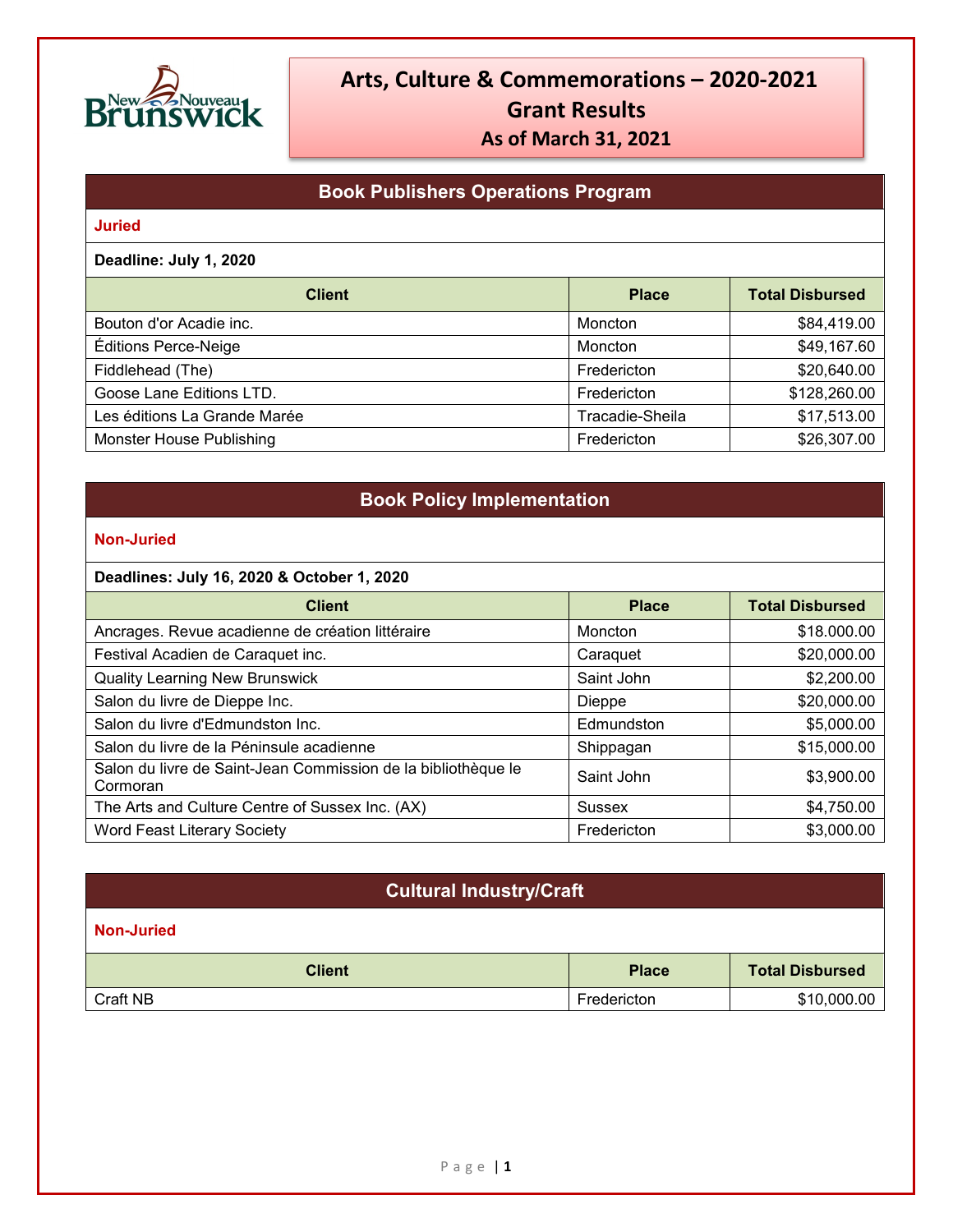

## **Book Publishers Operations Program**

#### **Juried**

**Deadline: July 1, 2020**

| <b>Client</b>                | <b>Place</b>    | <b>Total Disbursed</b> |
|------------------------------|-----------------|------------------------|
| Bouton d'or Acadie inc.      | Moncton         | \$84,419.00            |
| Éditions Perce-Neige         | Moncton         | \$49,167.60            |
| Fiddlehead (The)             | Fredericton     | \$20,640.00            |
| Goose Lane Editions LTD.     | Fredericton     | \$128,260.00           |
| Les éditions La Grande Marée | Tracadie-Sheila | \$17,513.00            |
| Monster House Publishing     | Fredericton     | \$26,307.00            |

### **Book Policy Implementation**

#### **Non-Juried**

#### **Deadlines: July 16, 2020 & October 1, 2020**

| <b>Client</b>                                                             | <b>Place</b> | <b>Total Disbursed</b> |
|---------------------------------------------------------------------------|--------------|------------------------|
| Ancrages. Revue acadienne de création littéraire                          | Moncton      | \$18.000.00            |
| Festival Acadien de Caraquet inc.                                         | Caraquet     | \$20,000.00            |
| <b>Quality Learning New Brunswick</b>                                     | Saint John   | \$2,200.00             |
| Salon du livre de Dieppe Inc.                                             | Dieppe       | \$20,000.00            |
| Salon du livre d'Edmundston Inc.                                          | Edmundston   | \$5,000.00             |
| Salon du livre de la Péninsule acadienne                                  | Shippagan    | \$15,000.00            |
| Salon du livre de Saint-Jean Commission de la bibliothèque le<br>Cormoran | Saint John   | \$3,900.00             |
| The Arts and Culture Centre of Sussex Inc. (AX)                           | Sussex       | \$4,750.00             |
| Word Feast Literary Society                                               | Fredericton  | \$3,000.00             |

### **Cultural Industry/Craft**

| <b>Client</b> | <b>Place</b> | <b>Total Disbursed</b> |
|---------------|--------------|------------------------|
| Craft NB      | Fredericton  | \$10,000.00            |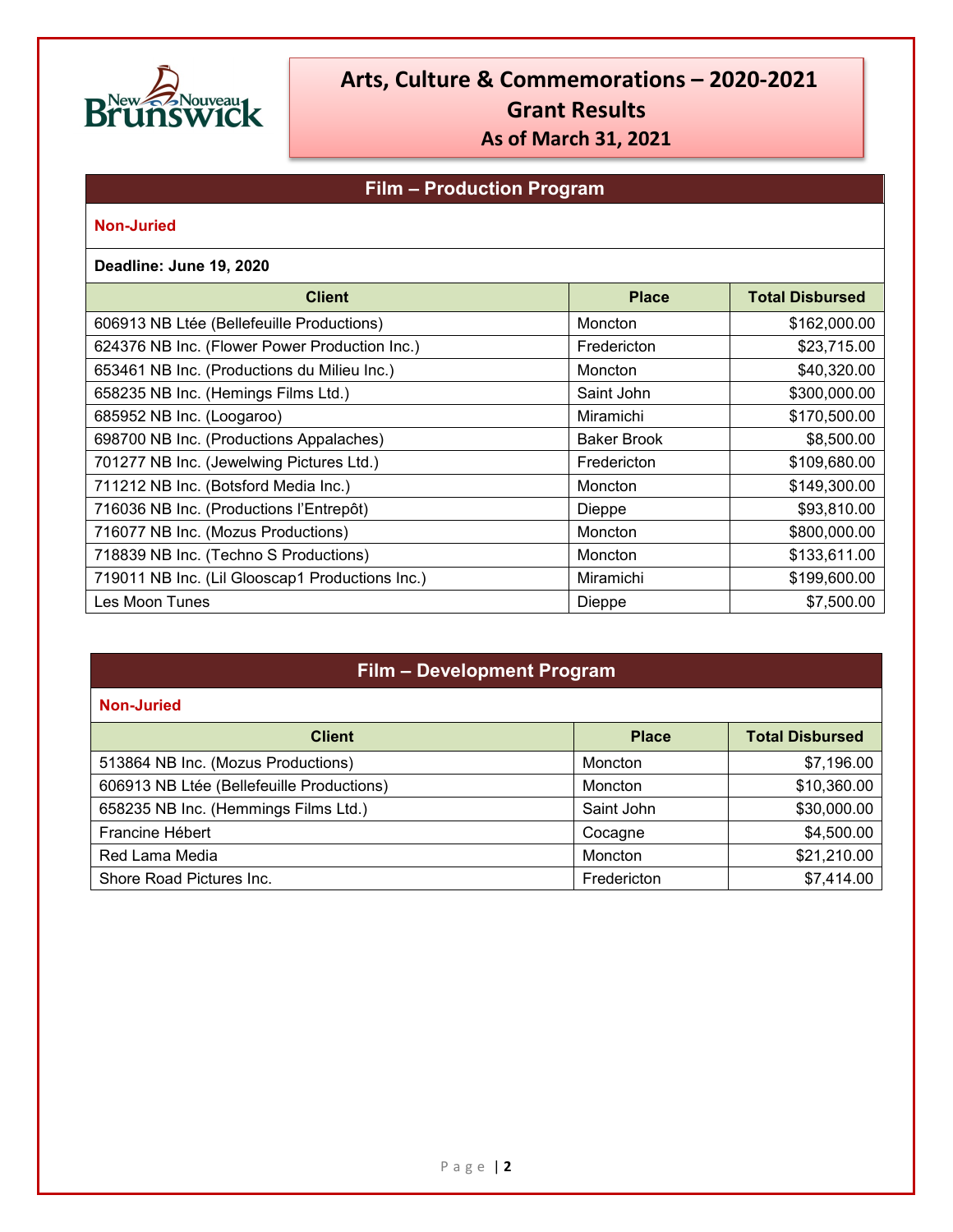

### **Film – Production Program**

#### **Non-Juried**

#### **Deadline: June 19, 2020**

| <b>Client</b>                                   | <b>Place</b>       | <b>Total Disbursed</b> |
|-------------------------------------------------|--------------------|------------------------|
| 606913 NB Ltée (Bellefeuille Productions)       | Moncton            | \$162,000.00           |
| 624376 NB Inc. (Flower Power Production Inc.)   | Fredericton        | \$23,715.00            |
| 653461 NB Inc. (Productions du Milieu Inc.)     | Moncton            | \$40,320.00            |
| 658235 NB Inc. (Hemings Films Ltd.)             | Saint John         | \$300,000.00           |
| 685952 NB Inc. (Loogaroo)                       | Miramichi          | \$170,500.00           |
| 698700 NB Inc. (Productions Appalaches)         | <b>Baker Brook</b> | \$8,500.00             |
| 701277 NB Inc. (Jewelwing Pictures Ltd.)        | Fredericton        | \$109,680.00           |
| 711212 NB Inc. (Botsford Media Inc.)            | Moncton            | \$149,300.00           |
| 716036 NB Inc. (Productions l'Entrepôt)         | Dieppe             | \$93,810.00            |
| 716077 NB Inc. (Mozus Productions)              | Moncton            | \$800,000.00           |
| 718839 NB Inc. (Techno S Productions)           | Moncton            | \$133,611.00           |
| 719011 NB Inc. (Lil Glooscap1 Productions Inc.) | Miramichi          | \$199,600.00           |
| Les Moon Tunes                                  | Dieppe             | \$7,500.00             |

## **Film – Development Program**

| <b>Client</b>                             | <b>Place</b> | <b>Total Disbursed</b> |
|-------------------------------------------|--------------|------------------------|
| 513864 NB Inc. (Mozus Productions)        | Moncton      | \$7,196.00             |
| 606913 NB Ltée (Bellefeuille Productions) | Moncton      | \$10,360.00            |
| 658235 NB Inc. (Hemmings Films Ltd.)      | Saint John   | \$30,000.00            |
| Francine Hébert                           | Cocagne      | \$4,500.00             |
| Red Lama Media                            | Moncton      | \$21,210.00            |
| Shore Road Pictures Inc.                  | Fredericton  | \$7,414.00             |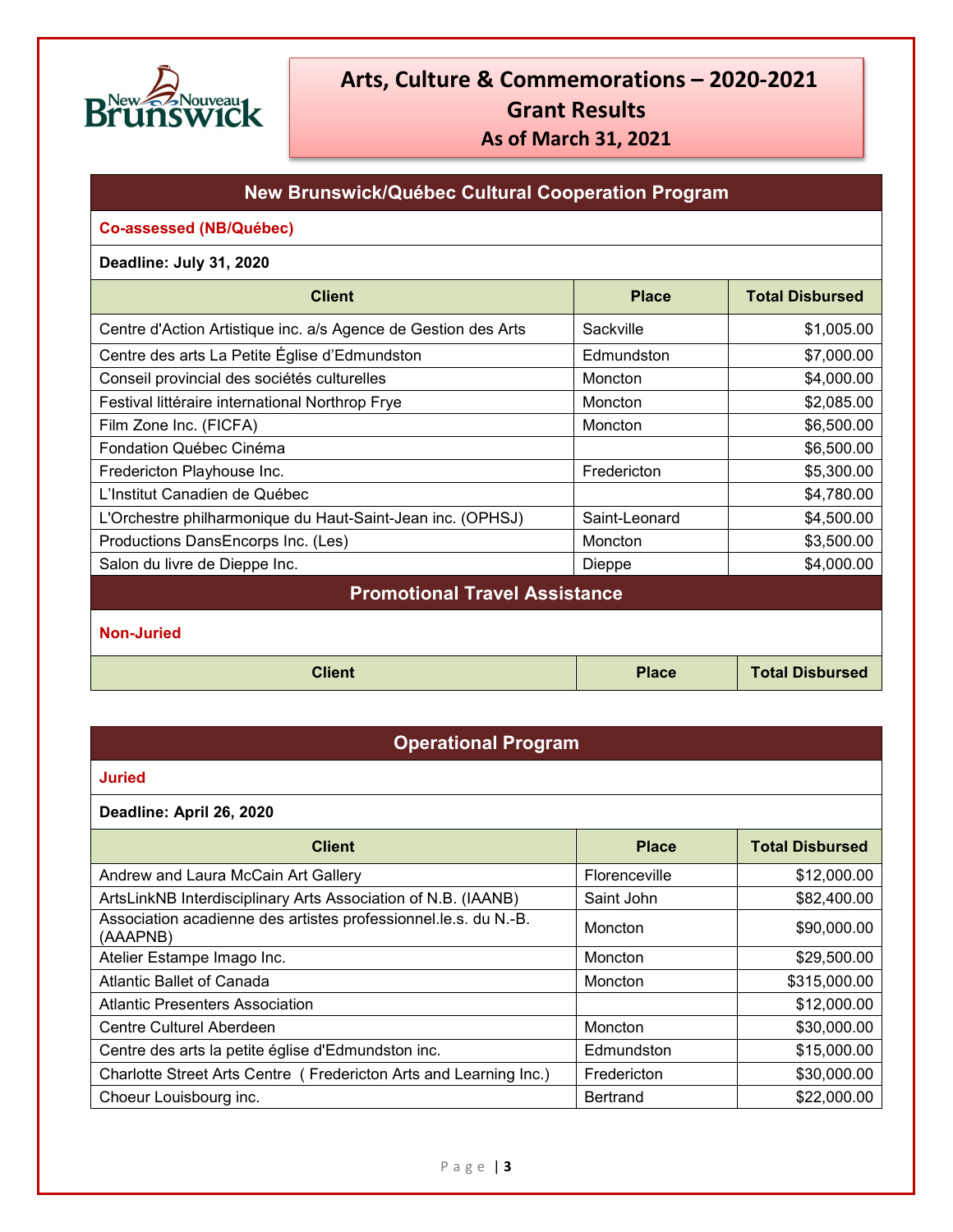

### **New Brunswick/Québec Cultural Cooperation Program**

#### **Co-assessed (NB/Québec)**

#### **Deadline: July 31, 2020**

| <b>Client</b>                                                  | <b>Place</b>   | <b>Total Disbursed</b> |
|----------------------------------------------------------------|----------------|------------------------|
| Centre d'Action Artistique inc. a/s Agence de Gestion des Arts | Sackville      | \$1,005.00             |
| Centre des arts La Petite Église d'Edmundston                  | Edmundston     | \$7,000.00             |
| Conseil provincial des sociétés culturelles                    | Moncton        | \$4,000.00             |
| Festival littéraire international Northrop Frye                | <b>Moncton</b> | \$2,085.00             |
| Film Zone Inc. (FICFA)                                         | Moncton        | \$6,500.00             |
| Fondation Québec Cinéma                                        |                | \$6,500.00             |
| Fredericton Playhouse Inc.                                     | Fredericton    | \$5,300.00             |
| L'Institut Canadien de Québec                                  |                | \$4,780.00             |
| L'Orchestre philharmonique du Haut-Saint-Jean inc. (OPHSJ)     | Saint-Leonard  | \$4,500.00             |
| Productions DansEncorps Inc. (Les)                             | Moncton        | \$3,500.00             |
| Salon du livre de Dieppe Inc.                                  | Dieppe         | \$4,000.00             |
| <b>Promotional Travel Assistance</b>                           |                |                        |

**Non-Juried**

**Client Place Place Total Disbursed** 

### **Operational Program**

#### **Juried**

**Deadline: April 26, 2020**

| <b>Client</b>                                                               | <b>Place</b>  | <b>Total Disbursed</b> |
|-----------------------------------------------------------------------------|---------------|------------------------|
| Andrew and Laura McCain Art Gallery                                         | Florenceville | \$12,000.00            |
| ArtsLinkNB Interdisciplinary Arts Association of N.B. (IAANB)               | Saint John    | \$82,400.00            |
| Association acadienne des artistes professionnel.le.s. du N.-B.<br>(AAAPNB) | Moncton       | \$90,000.00            |
| Atelier Estampe Imago Inc.                                                  | Moncton       | \$29,500.00            |
| Atlantic Ballet of Canada                                                   | Moncton       | \$315,000.00           |
| <b>Atlantic Presenters Association</b>                                      |               | \$12,000.00            |
| Centre Culturel Aberdeen                                                    | Moncton       | \$30,000.00            |
| Centre des arts la petite église d'Edmundston inc.                          | Edmundston    | \$15,000.00            |
| Charlotte Street Arts Centre (Fredericton Arts and Learning Inc.)           | Fredericton   | \$30,000.00            |
| Choeur Louisbourg inc.                                                      | Bertrand      | \$22,000.00            |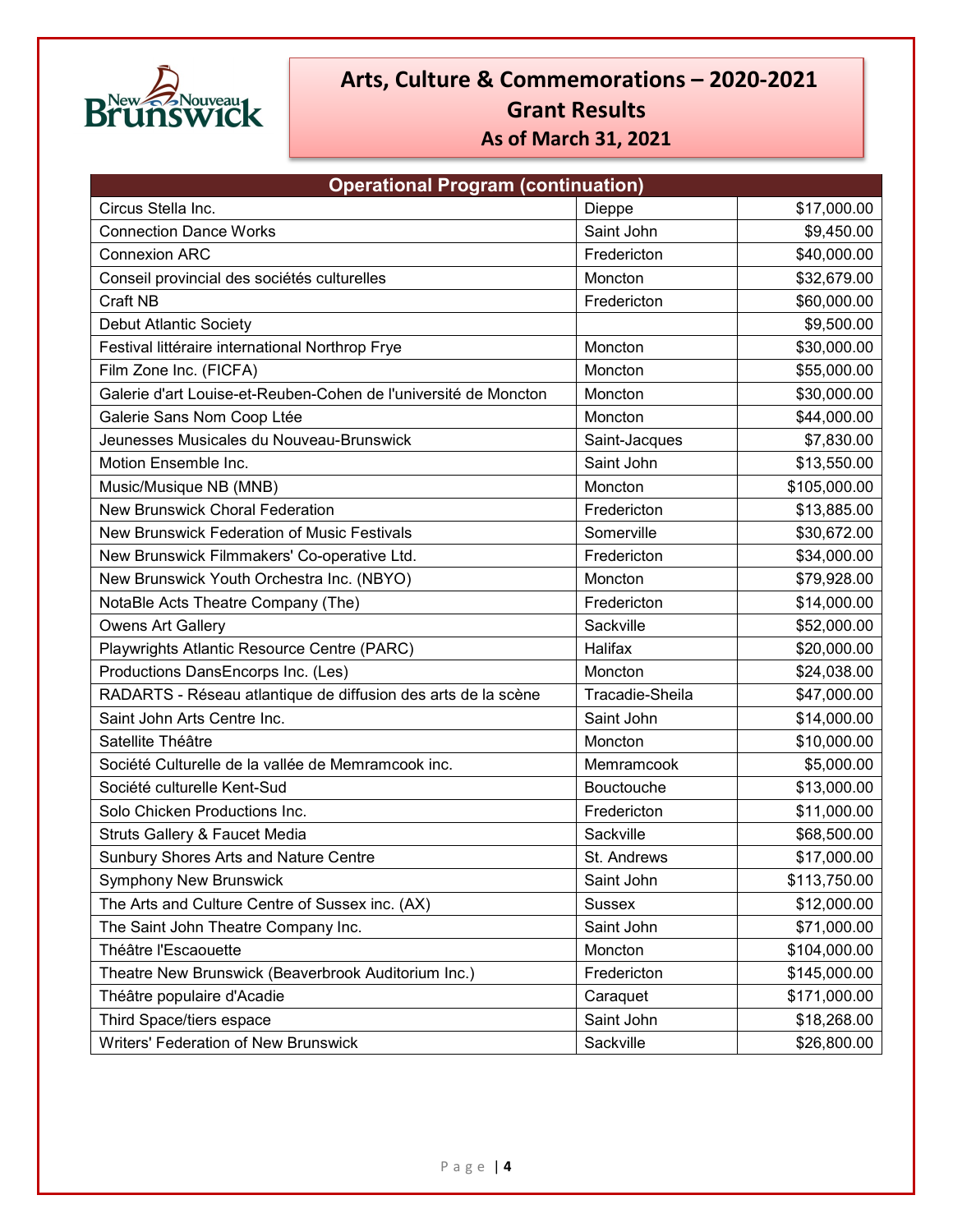

| <b>Operational Program (continuation)</b>                       |                   |              |
|-----------------------------------------------------------------|-------------------|--------------|
| Circus Stella Inc.                                              | Dieppe            | \$17,000.00  |
| <b>Connection Dance Works</b>                                   | Saint John        | \$9,450.00   |
| <b>Connexion ARC</b>                                            | Fredericton       | \$40,000.00  |
| Conseil provincial des sociétés culturelles                     | Moncton           | \$32,679.00  |
| Craft NB                                                        | Fredericton       | \$60,000.00  |
| <b>Debut Atlantic Society</b>                                   |                   | \$9,500.00   |
| Festival littéraire international Northrop Frye                 | Moncton           | \$30,000.00  |
| Film Zone Inc. (FICFA)                                          | Moncton           | \$55,000.00  |
| Galerie d'art Louise-et-Reuben-Cohen de l'université de Moncton | Moncton           | \$30,000.00  |
| Galerie Sans Nom Coop Ltée                                      | Moncton           | \$44,000.00  |
| Jeunesses Musicales du Nouveau-Brunswick                        | Saint-Jacques     | \$7,830.00   |
| Motion Ensemble Inc.                                            | Saint John        | \$13,550.00  |
| Music/Musique NB (MNB)                                          | Moncton           | \$105,000.00 |
| <b>New Brunswick Choral Federation</b>                          | Fredericton       | \$13,885.00  |
| New Brunswick Federation of Music Festivals                     | Somerville        | \$30,672.00  |
| New Brunswick Filmmakers' Co-operative Ltd.                     | Fredericton       | \$34,000.00  |
| New Brunswick Youth Orchestra Inc. (NBYO)                       | Moncton           | \$79,928.00  |
| NotaBle Acts Theatre Company (The)                              | Fredericton       | \$14,000.00  |
| <b>Owens Art Gallery</b>                                        | Sackville         | \$52,000.00  |
| Playwrights Atlantic Resource Centre (PARC)                     | Halifax           | \$20,000.00  |
| Productions DansEncorps Inc. (Les)                              | Moncton           | \$24,038.00  |
| RADARTS - Réseau atlantique de diffusion des arts de la scène   | Tracadie-Sheila   | \$47,000.00  |
| Saint John Arts Centre Inc.                                     | Saint John        | \$14,000.00  |
| Satellite Théâtre                                               | Moncton           | \$10,000.00  |
| Société Culturelle de la vallée de Memramcook inc.              | Memramcook        | \$5,000.00   |
| Société culturelle Kent-Sud                                     | <b>Bouctouche</b> | \$13,000.00  |
| Solo Chicken Productions Inc.                                   | Fredericton       | \$11,000.00  |
| <b>Struts Gallery &amp; Faucet Media</b>                        | Sackville         | \$68,500.00  |
| Sunbury Shores Arts and Nature Centre                           | St. Andrews       | \$17,000.00  |
| <b>Symphony New Brunswick</b>                                   | Saint John        | \$113,750.00 |
| The Arts and Culture Centre of Sussex inc. (AX)                 | <b>Sussex</b>     | \$12,000.00  |
| The Saint John Theatre Company Inc.                             | Saint John        | \$71,000.00  |
| Théâtre l'Escaouette                                            | Moncton           | \$104,000.00 |
| Theatre New Brunswick (Beaverbrook Auditorium Inc.)             | Fredericton       | \$145,000.00 |
| Théâtre populaire d'Acadie                                      | Caraquet          | \$171,000.00 |
| Third Space/tiers espace                                        | Saint John        | \$18,268.00  |
| Writers' Federation of New Brunswick                            | Sackville         | \$26,800.00  |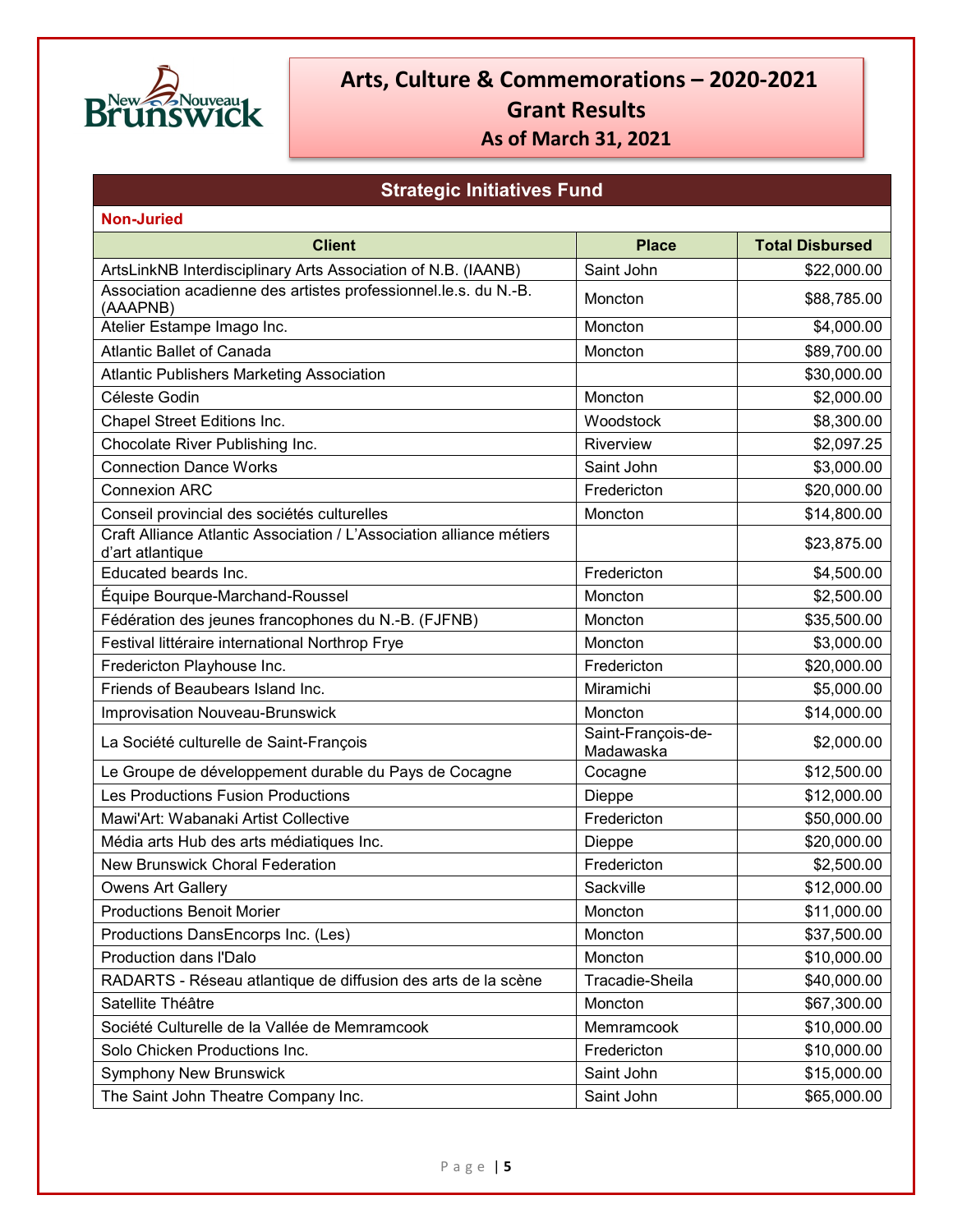

## **Strategic Initiatives Fund**

| <b>Non-Juried</b>                                                                        |                                 |                        |
|------------------------------------------------------------------------------------------|---------------------------------|------------------------|
| <b>Client</b>                                                                            | <b>Place</b>                    | <b>Total Disbursed</b> |
| ArtsLinkNB Interdisciplinary Arts Association of N.B. (IAANB)                            | Saint John                      | \$22,000.00            |
| Association acadienne des artistes professionnel.le.s. du N.-B.<br>(AAAPNB)              | Moncton                         | \$88,785.00            |
| Atelier Estampe Imago Inc.                                                               | Moncton                         | \$4,000.00             |
| <b>Atlantic Ballet of Canada</b>                                                         | Moncton                         | \$89,700.00            |
| <b>Atlantic Publishers Marketing Association</b>                                         |                                 | \$30,000.00            |
| Céleste Godin                                                                            | Moncton                         | \$2,000.00             |
| Chapel Street Editions Inc.                                                              | Woodstock                       | \$8,300.00             |
| Chocolate River Publishing Inc.                                                          | Riverview                       | \$2,097.25             |
| <b>Connection Dance Works</b>                                                            | Saint John                      | \$3,000.00             |
| <b>Connexion ARC</b>                                                                     | Fredericton                     | \$20,000.00            |
| Conseil provincial des sociétés culturelles                                              | Moncton                         | \$14,800.00            |
| Craft Alliance Atlantic Association / L'Association alliance métiers<br>d'art atlantique |                                 | \$23,875.00            |
| Educated beards Inc.                                                                     | Fredericton                     | \$4,500.00             |
| Équipe Bourque-Marchand-Roussel                                                          | Moncton                         | \$2,500.00             |
| Fédération des jeunes francophones du N.-B. (FJFNB)                                      | Moncton                         | \$35,500.00            |
| Festival littéraire international Northrop Frye                                          | Moncton                         | \$3,000.00             |
| Fredericton Playhouse Inc.                                                               | Fredericton                     | \$20,000.00            |
| Friends of Beaubears Island Inc.                                                         | Miramichi                       | \$5,000.00             |
| <b>Improvisation Nouveau-Brunswick</b>                                                   | Moncton                         | \$14,000.00            |
| La Société culturelle de Saint-François                                                  | Saint-François-de-<br>Madawaska | \$2,000.00             |
| Le Groupe de développement durable du Pays de Cocagne                                    | Cocagne                         | \$12,500.00            |
| Les Productions Fusion Productions                                                       | Dieppe                          | \$12,000.00            |
| Mawi'Art: Wabanaki Artist Collective                                                     | Fredericton                     | \$50,000.00            |
| Média arts Hub des arts médiatiques Inc.                                                 | Dieppe                          | \$20,000.00            |
| <b>New Brunswick Choral Federation</b>                                                   | Fredericton                     | \$2,500.00             |
| <b>Owens Art Gallery</b>                                                                 | Sackville                       | \$12,000.00            |
| <b>Productions Benoit Morier</b>                                                         | Moncton                         | \$11,000.00            |
| Productions DansEncorps Inc. (Les)                                                       | Moncton                         | \$37,500.00            |
| Production dans l'Dalo                                                                   | Moncton                         | \$10,000.00            |
| RADARTS - Réseau atlantique de diffusion des arts de la scène                            | Tracadie-Sheila                 | \$40,000.00            |
| Satellite Théâtre                                                                        | Moncton                         | \$67,300.00            |
| Société Culturelle de la Vallée de Memramcook                                            | Memramcook                      | \$10,000.00            |
| Solo Chicken Productions Inc.                                                            | Fredericton                     | \$10,000.00            |
| <b>Symphony New Brunswick</b>                                                            | Saint John                      | \$15,000.00            |
| The Saint John Theatre Company Inc.                                                      | Saint John                      | \$65,000.00            |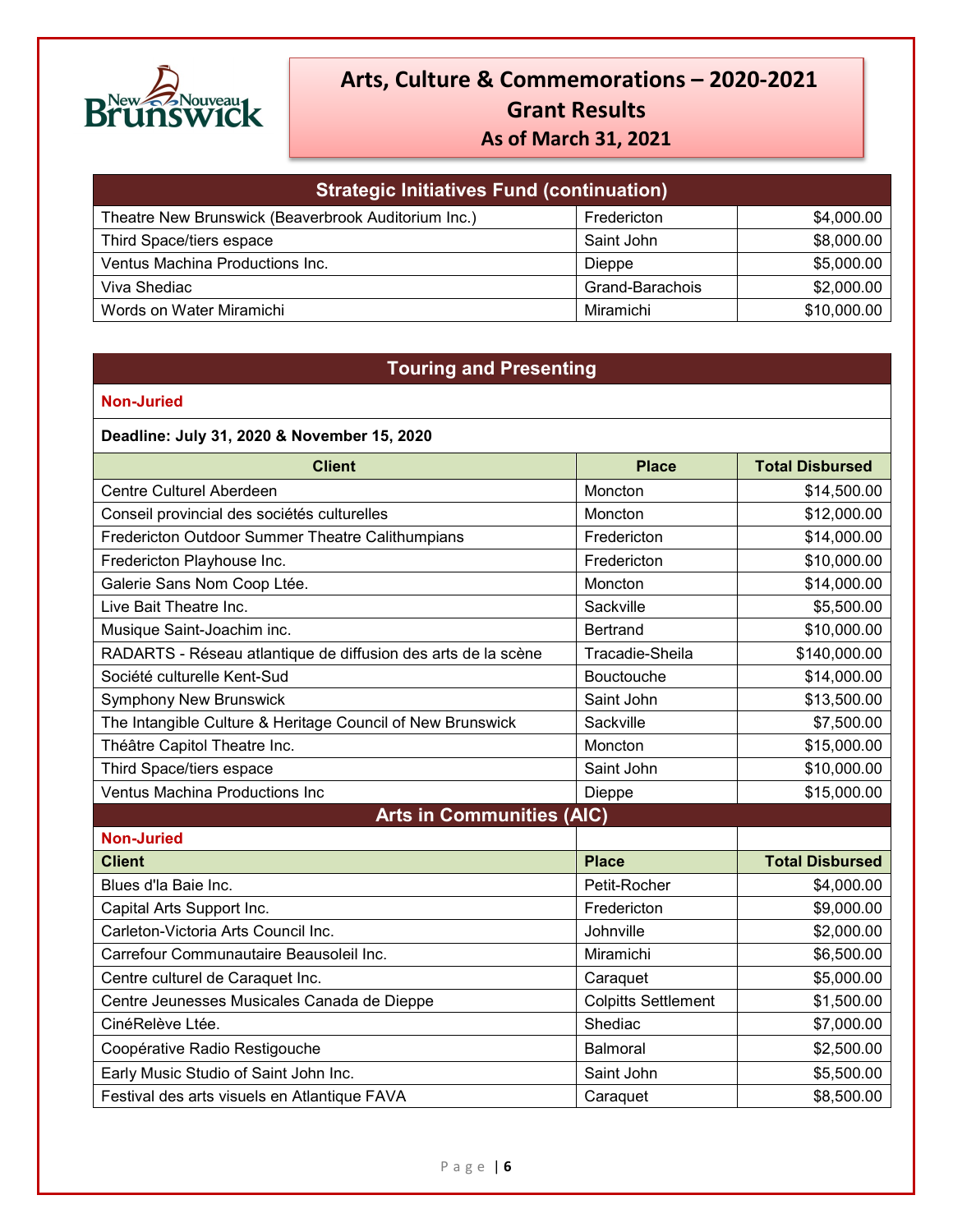

| <b>Strategic Initiatives Fund (continuation)</b>    |                 |             |
|-----------------------------------------------------|-----------------|-------------|
| Theatre New Brunswick (Beaverbrook Auditorium Inc.) | Fredericton     | \$4,000.00  |
| Third Space/tiers espace                            | Saint John      | \$8,000.00  |
| Ventus Machina Productions Inc.                     | <b>Dieppe</b>   | \$5,000.00  |
| Viva Shediac                                        | Grand-Barachois | \$2,000.00  |
| Words on Water Miramichi                            | Miramichi       | \$10,000.00 |

### **Touring and Presenting**

| Deadline: July 31, 2020 & November 15, 2020                   |                            |                        |
|---------------------------------------------------------------|----------------------------|------------------------|
| <b>Client</b>                                                 | <b>Place</b>               | <b>Total Disbursed</b> |
| Centre Culturel Aberdeen                                      | Moncton                    | \$14,500.00            |
| Conseil provincial des sociétés culturelles                   | Moncton                    | \$12,000.00            |
| Fredericton Outdoor Summer Theatre Calithumpians              | Fredericton                | \$14,000.00            |
| Fredericton Playhouse Inc.                                    | Fredericton                | \$10,000.00            |
| Galerie Sans Nom Coop Ltée.                                   | Moncton                    | \$14,000.00            |
| Live Bait Theatre Inc.                                        | Sackville                  | \$5,500.00             |
| Musique Saint-Joachim inc.                                    | <b>Bertrand</b>            | \$10,000.00            |
| RADARTS - Réseau atlantique de diffusion des arts de la scène | Tracadie-Sheila            | \$140,000.00           |
| Société culturelle Kent-Sud                                   | Bouctouche                 | \$14,000.00            |
| <b>Symphony New Brunswick</b>                                 | Saint John                 | \$13,500.00            |
| The Intangible Culture & Heritage Council of New Brunswick    | Sackville                  | \$7,500.00             |
| Théâtre Capitol Theatre Inc.                                  | Moncton                    | \$15,000.00            |
| Third Space/tiers espace                                      | Saint John                 | \$10,000.00            |
| <b>Ventus Machina Productions Inc</b>                         | Dieppe                     | \$15,000.00            |
| <b>Arts in Communities (AIC)</b>                              |                            |                        |
| <b>Non-Juried</b>                                             |                            |                        |
| <b>Client</b>                                                 | <b>Place</b>               | <b>Total Disbursed</b> |
| Blues d'la Baie Inc.                                          | Petit-Rocher               | \$4,000.00             |
| Capital Arts Support Inc.                                     | Fredericton                | \$9,000.00             |
| Carleton-Victoria Arts Council Inc.                           | Johnville                  | \$2,000.00             |
| Carrefour Communautaire Beausoleil Inc.                       | Miramichi                  | \$6,500.00             |
| Centre culturel de Caraquet Inc.                              | Caraquet                   | \$5,000.00             |
| Centre Jeunesses Musicales Canada de Dieppe                   | <b>Colpitts Settlement</b> | \$1,500.00             |
| CinéRelève Ltée.                                              | Shediac                    | \$7,000.00             |
| Coopérative Radio Restigouche                                 | Balmoral                   | \$2,500.00             |
| Early Music Studio of Saint John Inc.                         | Saint John                 | \$5,500.00             |
| Festival des arts visuels en Atlantique FAVA                  | Caraquet                   | \$8,500.00             |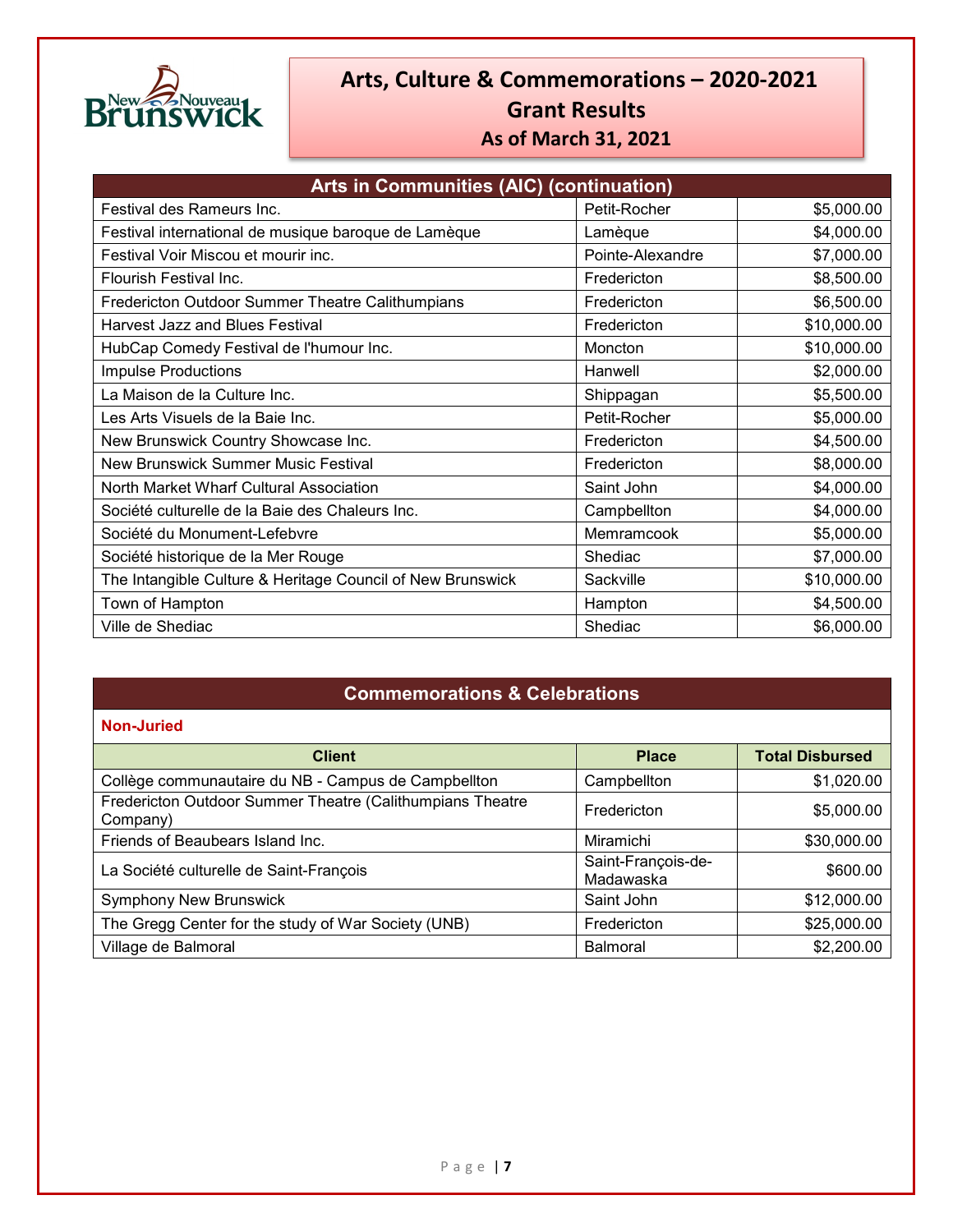

| Arts in Communities (AIC) (continuation)                   |                  |             |
|------------------------------------------------------------|------------------|-------------|
| Festival des Rameurs Inc.                                  | Petit-Rocher     | \$5,000.00  |
| Festival international de musique baroque de Lamèque       | Lamèque          | \$4,000.00  |
| Festival Voir Miscou et mourir inc.                        | Pointe-Alexandre | \$7,000.00  |
| Flourish Festival Inc.                                     | Fredericton      | \$8,500.00  |
| Fredericton Outdoor Summer Theatre Calithumpians           | Fredericton      | \$6,500.00  |
| <b>Harvest Jazz and Blues Festival</b>                     | Fredericton      | \$10,000.00 |
| HubCap Comedy Festival de l'humour Inc.                    | Moncton          | \$10,000.00 |
| Impulse Productions                                        | Hanwell          | \$2,000.00  |
| La Maison de la Culture Inc.                               | Shippagan        | \$5,500.00  |
| Les Arts Visuels de la Baie Inc.                           | Petit-Rocher     | \$5,000.00  |
| New Brunswick Country Showcase Inc.                        | Fredericton      | \$4,500.00  |
| <b>New Brunswick Summer Music Festival</b>                 | Fredericton      | \$8,000.00  |
| North Market Wharf Cultural Association                    | Saint John       | \$4,000.00  |
| Société culturelle de la Baie des Chaleurs Inc.            | Campbellton      | \$4,000.00  |
| Société du Monument-Lefebvre                               | Memramcook       | \$5,000.00  |
| Société historique de la Mer Rouge                         | Shediac          | \$7,000.00  |
| The Intangible Culture & Heritage Council of New Brunswick | Sackville        | \$10,000.00 |
| Town of Hampton                                            | Hampton          | \$4,500.00  |
| Ville de Shediac                                           | Shediac          | \$6,000.00  |

### **Commemorations & Celebrations**

| <b>Client</b>                                                         | <b>Place</b>                    | <b>Total Disbursed</b> |
|-----------------------------------------------------------------------|---------------------------------|------------------------|
| Collège communautaire du NB - Campus de Campbellton                   | Campbellton                     | \$1,020.00             |
| Fredericton Outdoor Summer Theatre (Calithumpians Theatre<br>Company) | Fredericton                     | \$5,000.00             |
| Friends of Beaubears Island Inc.                                      | Miramichi                       | \$30,000.00            |
| La Société culturelle de Saint-François                               | Saint-François-de-<br>Madawaska | \$600.00               |
| <b>Symphony New Brunswick</b>                                         | Saint John                      | \$12,000.00            |
| The Gregg Center for the study of War Society (UNB)                   | Fredericton                     | \$25,000.00            |
| Village de Balmoral                                                   | <b>Balmoral</b>                 | \$2,200.00             |